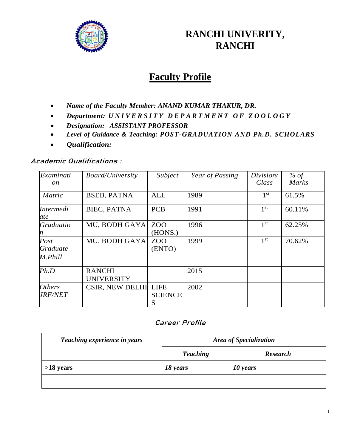

# **RANCHI UNIVERITY, RANCHI**

# **Faculty Profile**

- *Name of the Faculty Member: ANAND KUMAR THAKUR, DR.*
- *Department: U N I V E R S I T Y D E P A R T M E N T O F Z O O L O G Y*
- *Designation: ASSISTANT PROFESSOR*
- *Level of Guidance & Teaching: POST-GRADUATION AND Ph.D. SCHOLARS*
- *Qualification:*

#### **Academic Qualifications :**

| Examinati<br><sub>on</sub>             | <b>Board/University</b>            | Subject             | Year of Passing | Division/<br>Class | % of<br><b>Marks</b> |
|----------------------------------------|------------------------------------|---------------------|-----------------|--------------------|----------------------|
| <b>Matric</b>                          | <b>BSEB, PATNA</b>                 | <b>ALL</b>          | 1989            | 1 <sup>st</sup>    | 61.5%                |
| <i>Intermedi</i><br>ate                | BIEC, PATNA                        | <b>PCB</b>          | 1991            | 1 <sup>st</sup>    | 60.11%               |
| Graduatio<br>n                         | MU, BODH GAYA                      | ZOO<br>(HONS.)      | 1996            | 1 <sup>st</sup>    | 62.25%               |
| Post<br>Graduate                       | MU, BODH GAYA                      | ZOO<br>(ENTO)       | 1999            | 1 <sup>st</sup>    | 70.62%               |
| M.Phill                                |                                    |                     |                 |                    |                      |
| Ph.D                                   | <b>RANCHI</b><br><b>UNIVERSITY</b> |                     | 2015            |                    |                      |
| <i><b>Others</b></i><br><i>JRF/NET</i> | CSIR, NEW DELHI LIFE               | <b>SCIENCE</b><br>S | 2002            |                    |                      |

#### **Career Profile**

| Teaching experience in years | Area of Specialization |                 |  |
|------------------------------|------------------------|-----------------|--|
|                              | <b>Teaching</b>        | <b>Research</b> |  |
| $>18$ years                  | 18 years               | 10 years        |  |
|                              |                        |                 |  |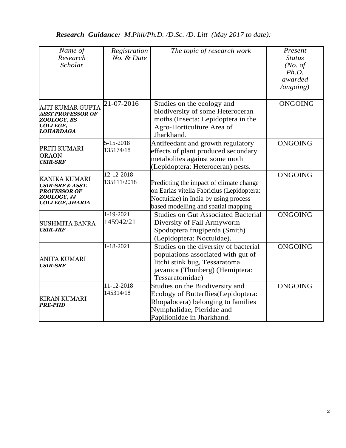*Research Guidance: M.Phil/Ph.D. /D.Sc. /D. Litt (May 2017 to date):*

| Name of<br>Research<br>Scholar                                                                           | Registration<br>No. & Date   | The topic of research work                                                                                                                                              | Present<br><b>Status</b><br>(No. of)<br>Ph.D.<br>awarded<br>$\log o$ ing) |
|----------------------------------------------------------------------------------------------------------|------------------------------|-------------------------------------------------------------------------------------------------------------------------------------------------------------------------|---------------------------------------------------------------------------|
| AJIT KUMAR GUPTA<br><b>ASST PROFESSOR OF</b><br>ZOOLOGY, BS<br>COLLEGE,<br>LOHARDAGA                     | 21-07-2016                   | Studies on the ecology and<br>biodiversity of some Heteroceran<br>moths (Insecta: Lepidoptera in the<br>Agro-Horticulture Area of<br>Jharkhand.                         | <b>ONGOING</b>                                                            |
| PRITI KUMARI<br><b>ORAON</b><br><b>CSIR-SRF</b>                                                          | $5 - 15 - 2018$<br>135174/18 | Antifeedant and growth regulatory<br>effects of plant produced secondary<br>metabolites against some moth<br>(Lepidoptera: Heteroceran) pests.                          | <b>ONGOING</b>                                                            |
| <b>KANIKA KUMARI</b><br>CSIR-SRF & ASST.<br><b>PROFESSOR OF</b><br>ZOOLOGY, JJ<br><b>COLLEGE, JHARIA</b> | 12-12-2018<br>135111/2018    | Predicting the impact of climate change<br>on Earias vitella Fabricius (Lepidoptera:<br>Noctuidae) in India by using process<br>based modelling and spatial mapping     | <b>ONGOING</b>                                                            |
| <b>SUSHMITA BANRA</b><br>CSIR-JRF                                                                        | 1-19-2021<br>145942/21       | <b>Studies on Gut Associated Bacterial</b><br>Diversity of Fall Armyworm<br>Spodoptera frugiperda (Smith)<br>(Lepidoptera: Noctuidae).                                  | <b>ONGOING</b>                                                            |
| ANITA KUMARI<br><b>CSIR-SRF</b>                                                                          | $1 - 18 - 2021$              | Studies on the diversity of bacterial<br>populations associated with gut of<br>litchi stink bug, Tessaratoma<br>javanica (Thunberg) (Hemiptera:<br>Tessaratomidae)      | <b>ONGOING</b>                                                            |
| <b>KIRAN KUMARI</b><br><b>PRE-PHD</b>                                                                    | 11-12-2018<br>145314/18      | Studies on the Biodiversity and<br>Ecology of Butterflies(Lepidoptera:<br>Rhopalocera) belonging to families<br>Nymphalidae, Pieridae and<br>Papilionidae in Jharkhand. | <b>ONGOING</b>                                                            |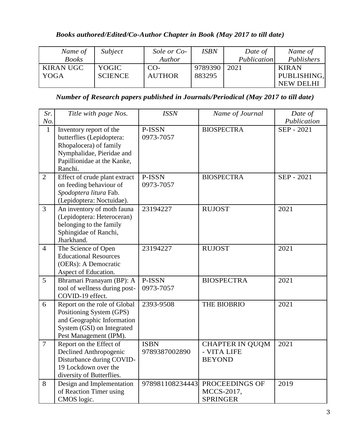### *Books authored/Edited/Co-Author Chapter in Book (May 2017 to till date)*

| Name of          | Subject        | Sole or Co-   | <b>ISBN</b> | Date of     | Name of      |
|------------------|----------------|---------------|-------------|-------------|--------------|
| <b>Books</b>     |                | Author        |             | Publication | Publishers   |
| <b>KIRAN UGC</b> | YOGIC          | $CO-$         | 9789390     | 2021        | <b>KIRAN</b> |
| YOGA             | <b>SCIENCE</b> | <b>AUTHOR</b> | 883295      |             | PUBLISHING,  |
|                  |                |               |             |             | NEW DELHI    |

*Number of Research papers published in Journals/Periodical (May 2017 to till date)*

| Sr.            | Title with page Nos.                                                                                                                                  | <b>ISSN</b>                  | Name of Journal                                        | Date of     |
|----------------|-------------------------------------------------------------------------------------------------------------------------------------------------------|------------------------------|--------------------------------------------------------|-------------|
| No.            |                                                                                                                                                       |                              |                                                        | Publication |
| $\mathbf{1}$   | Inventory report of the<br>butterflies (Lepidoptera:<br>Rhopalocera) of family<br>Nymphalidae, Pieridae and<br>Papillionidae at the Kanke,<br>Ranchi. | P-ISSN<br>0973-7057          | <b>BIOSPECTRA</b>                                      | SEP - 2021  |
| $\overline{2}$ | Effect of crude plant extract<br>on feeding behaviour of<br>Spodoptera litura Fab.<br>(Lepidoptera: Noctuidae).                                       | P-ISSN<br>0973-7057          | <b>BIOSPECTRA</b>                                      | SEP - 2021  |
| $\overline{3}$ | An inventory of moth fauna<br>(Lepidoptera: Heteroceran)<br>belonging to the family<br>Sphingidae of Ranchi,<br>Jharkhand.                            | 23194227                     | <b>RUJOST</b>                                          | 2021        |
| $\overline{4}$ | The Science of Open<br><b>Educational Resources</b><br>(OERs): A Democratic<br>Aspect of Education.                                                   | 23194227                     | <b>RUJOST</b>                                          | 2021        |
| 5              | Bhramari Pranayam (BP): A<br>tool of wellness during post-<br>COVID-19 effect.                                                                        | P-ISSN<br>0973-7057          | <b>BIOSPECTRA</b>                                      | 2021        |
| 6              | Report on the role of Global<br>Positioning System (GPS)<br>and Geographic Information<br>System (GSI) on Integrated<br>Pest Management (IPM).        | 2393-9508                    | THE BIOBRIO                                            | 2021        |
| $\overline{7}$ | Report on the Effect of<br>Declined Anthropogenic<br>Disturbance during COVID-<br>19 Lockdown over the<br>diversity of Butterflies.                   | <b>ISBN</b><br>9789387002890 | <b>CHAPTER IN QUQM</b><br>- VITA LIFE<br><b>BEYOND</b> | 2021        |
| 8              | Design and Implementation<br>of Reaction Timer using<br>CMOS logic.                                                                                   | 978981108234443              | PROCEEDINGS OF<br>MCCS-2017,<br><b>SPRINGER</b>        | 2019        |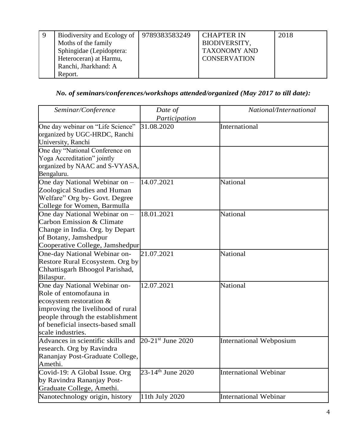| -9 | Biodiversity and Ecology of 9789383583249 | <b>CHAPTER IN</b>   | 2018 |
|----|-------------------------------------------|---------------------|------|
|    | Moths of the family                       | BIODIVERSITY,       |      |
|    | Sphingidae (Lepidoptera:                  | <b>TAXONOMY AND</b> |      |
|    | Heteroceran) at Harmu,                    | <b>CONSERVATION</b> |      |
|    | Ranchi, Jharkhand: A                      |                     |      |
|    | Report.                                   |                     |      |

## *No. of seminars/conferences/workshops attended/organized (May 2017 to till date):*

| Seminar/Conference                | Date of                       | National/International         |
|-----------------------------------|-------------------------------|--------------------------------|
|                                   | Participation                 |                                |
| One day webinar on "Life Science" | 31.08.2020                    | International                  |
| organized by UGC-HRDC, Ranchi     |                               |                                |
| University, Ranchi                |                               |                                |
| One day "National Conference on   |                               |                                |
| Yoga Accreditation" jointly       |                               |                                |
| organized by NAAC and S-VYASA,    |                               |                                |
| Bengaluru.                        |                               |                                |
| One day National Webinar on -     | 14.07.2021                    | National                       |
| Zoological Studies and Human      |                               |                                |
| Welfare" Org by- Govt. Degree     |                               |                                |
| College for Women, Barmulla       |                               |                                |
| One day National Webinar on -     | 18.01.2021                    | National                       |
| Carbon Emission & Climate         |                               |                                |
| Change in India. Org. by Depart   |                               |                                |
| of Botany, Jamshedpur             |                               |                                |
| Cooperative College, Jamshedpur   |                               |                                |
| One-day National Webinar on-      | 21.07.2021                    | National                       |
| Restore Rural Ecosystem. Org by   |                               |                                |
| Chhattisgarh Bhoogol Parishad,    |                               |                                |
| Bilaspur.                         |                               |                                |
| One day National Webinar on-      | 12.07.2021                    | National                       |
| Role of entomofauna in            |                               |                                |
| ecosystem restoration &           |                               |                                |
| improving the livelihood of rural |                               |                                |
| people through the establishment  |                               |                                |
| of beneficial insects-based small |                               |                                |
| scale industries.                 |                               |                                |
| Advances in scientific skills and | 20-21st June 2020             | <b>International Webposium</b> |
| research. Org by Ravindra         |                               |                                |
| Rananjay Post-Graduate College,   |                               |                                |
| Amethi.                           |                               |                                |
| Covid-19: A Global Issue. Org     | 23-14 <sup>th</sup> June 2020 | <b>International Webinar</b>   |
| by Ravindra Rananjay Post-        |                               |                                |
| Graduate College, Amethi.         |                               |                                |
| Nanotechnology origin, history    | 11th July 2020                | <b>International Webinar</b>   |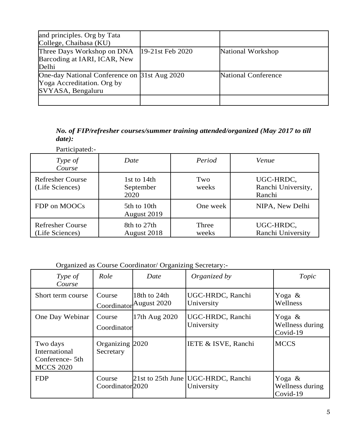| and principles. Org by Tata<br>College, Chaibasa (KU)                                           |                  |                            |
|-------------------------------------------------------------------------------------------------|------------------|----------------------------|
| Three Days Workshop on DNA<br>Barcoding at IARI, ICAR, New<br>Delhi                             | 19-21st Feb 2020 | National Workshop          |
| One-day National Conference on 31st Aug 2020<br>Yoga Accreditation. Org by<br>SVYASA, Bengaluru |                  | <b>National Conference</b> |
|                                                                                                 |                  |                            |

*No. of FIP/refresher courses/summer training attended/organized (May 2017 to till date):*

| Participated:-                             |                                  |                |                                           |
|--------------------------------------------|----------------------------------|----------------|-------------------------------------------|
| Type of<br>Course                          | Date                             | Period         | Venue                                     |
| <b>Refresher Course</b><br>(Life Sciences) | 1st to 14th<br>September<br>2020 | Two<br>weeks   | UGC-HRDC,<br>Ranchi University,<br>Ranchi |
| FDP on MOOCs                               | 5th to 10th<br>August 2019       | One week       | NIPA, New Delhi                           |
| <b>Refresher Course</b><br>(Life Sciences) | 8th to 27th<br>August 2018       | Three<br>weeks | UGC-HRDC,<br>Ranchi University            |

Organized as Course Coordinator/ Organizing Secretary:-

| Type of<br>Course                                                | Role                                  | Date                                    | Organized by                                       | Topic                                    |
|------------------------------------------------------------------|---------------------------------------|-----------------------------------------|----------------------------------------------------|------------------------------------------|
| Short term course                                                | Course                                | 18th to 24th<br>Coordinator August 2020 | UGC-HRDC, Ranchi<br>University                     | Yoga $\&$<br>Wellness                    |
| One Day Webinar                                                  | Course<br>Coordinator                 | 17th Aug 2020                           | UGC-HRDC, Ranchi<br>University                     | Yoga $\&$<br>Wellness during<br>Covid-19 |
| Two days<br>International<br>Conference- 5th<br><b>MCCS 2020</b> | Organizing 2020<br>Secretary          |                                         | IETE & ISVE, Ranchi                                | <b>MCCS</b>                              |
| <b>FDP</b>                                                       | Course<br>Coordinator <sub>2020</sub> |                                         | 21st to 25th June   UGC-HRDC, Ranchi<br>University | Yoga $\&$<br>Wellness during<br>Covid-19 |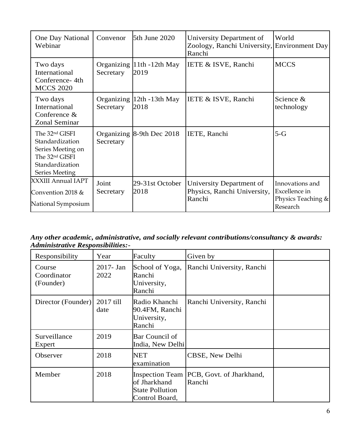| One Day National<br>Webinar                                                                                                           | Convenor           | 5th June 2020                     | University Department of<br>Zoology, Ranchi University, Environment Day<br>Ranchi | World                                                              |
|---------------------------------------------------------------------------------------------------------------------------------------|--------------------|-----------------------------------|-----------------------------------------------------------------------------------|--------------------------------------------------------------------|
| Two days<br>International<br>Conference-4th<br><b>MCCS 2020</b>                                                                       | Secretary          | Organizing 11th -12th May<br>2019 | IETE & ISVE, Ranchi                                                               | <b>MCCS</b>                                                        |
| Two days<br>International<br>Conference $&$<br><b>Zonal Seminar</b>                                                                   | Secretary          | Organizing 12th -13th May<br>2018 | IETE & ISVE, Ranchi                                                               | Science &<br>technology                                            |
| The 32 <sup>nd</sup> GISFI<br>Standardization<br>Series Meeting on<br>The 32 <sup>nd</sup> GISFI<br>Standardization<br>Series Meeting | Secretary          | Organizing 8-9th Dec 2018         | IETE, Ranchi                                                                      | $5-G$                                                              |
| XXXIII Annual IAPT<br>Convention 2018 $&$<br>National Symposium                                                                       | Joint<br>Secretary | 29-31st October<br>2018           | University Department of<br>Physics, Ranchi University,<br>Ranchi                 | Innovations and<br>Excellence in<br>Physics Teaching &<br>Research |

*Any other academic, administrative, and socially relevant contributions/consultancy & awards: Administrative Responsibilities:-*

| Responsibility                     | Year              | Faculty                                                  | Given by                                             |  |
|------------------------------------|-------------------|----------------------------------------------------------|------------------------------------------------------|--|
| Course<br>Coordinator<br>(Founder) | 2017- Jan<br>2022 | School of Yoga,<br>Ranchi<br>University,<br>Ranchi       | Ranchi University, Ranchi                            |  |
| Director (Founder)                 | 2017 till<br>date | Radio Khanchi<br>90.4FM, Ranchi<br>University,<br>Ranchi | Ranchi University, Ranchi                            |  |
| Surveillance<br>Expert             | 2019              | <b>Bar Council of</b><br>India, New Delhi                |                                                      |  |
| Observer                           | 2018              | <b>NET</b><br>examination                                | CBSE, New Delhi                                      |  |
| Member                             | 2018              | of Jharkhand<br><b>State Pollution</b><br>Control Board, | Inspection Team   PCB, Govt. of Jharkhand,<br>Ranchi |  |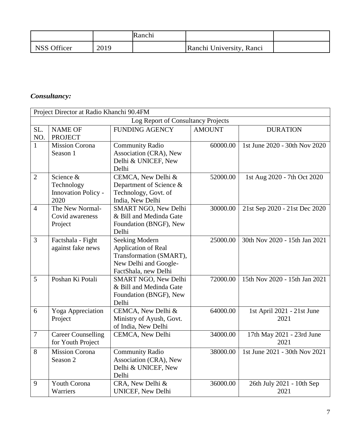|             |      | Ranchi |                          |  |
|-------------|------|--------|--------------------------|--|
| NSS Officer | 2019 |        | Ranchi University, Ranci |  |

### *Consultancy:*

| Project Director at Radio Khanchi 90.4FM |                            |                             |               |                               |
|------------------------------------------|----------------------------|-----------------------------|---------------|-------------------------------|
| Log Report of Consultancy Projects       |                            |                             |               |                               |
| SL.                                      | <b>NAME OF</b>             | <b>FUNDING AGENCY</b>       | <b>AMOUNT</b> | <b>DURATION</b>               |
| NO.                                      | <b>PROJECT</b>             |                             |               |                               |
| $\mathbf{1}$                             | <b>Mission Corona</b>      | <b>Community Radio</b>      | 60000.00      | 1st June 2020 - 30th Nov 2020 |
|                                          | Season 1                   | Association (CRA), New      |               |                               |
|                                          |                            | Delhi & UNICEF, New         |               |                               |
|                                          |                            | Delhi                       |               |                               |
| $\mathbf{2}$                             | Science &                  | CEMCA, New Delhi &          | 52000.00      | 1st Aug 2020 - 7th Oct 2020   |
|                                          | Technology                 | Department of Science &     |               |                               |
|                                          | <b>Innovation Policy -</b> | Technology, Govt. of        |               |                               |
|                                          | 2020                       | India, New Delhi            |               |                               |
| $\overline{4}$                           | The New Normal-            | SMART NGO, New Delhi        | 30000.00      | 21st Sep 2020 - 21st Dec 2020 |
|                                          | Covid awareness            | & Bill and Medinda Gate     |               |                               |
|                                          | Project                    | Foundation (BNGF), New      |               |                               |
|                                          |                            | Delhi                       |               |                               |
| 3                                        | Factshala - Fight          | <b>Seeking Modern</b>       | 25000.00      | 30th Nov 2020 - 15th Jan 2021 |
|                                          | against fake news          | Application of Real         |               |                               |
|                                          |                            | Transformation (SMART),     |               |                               |
|                                          |                            | New Delhi and Google-       |               |                               |
|                                          |                            | FactShala, new Delhi        |               |                               |
| 5                                        | Poshan Ki Potali           | <b>SMART NGO, New Delhi</b> | 72000.00      | 15th Nov 2020 - 15th Jan 2021 |
|                                          |                            | & Bill and Medinda Gate     |               |                               |
|                                          |                            | Foundation (BNGF), New      |               |                               |
|                                          |                            | Delhi                       |               |                               |
| 6                                        | Yoga Appreciation          | CEMCA, New Delhi &          | 64000.00      | 1st April 2021 - 21st June    |
|                                          | Project                    | Ministry of Ayush, Govt.    |               | 2021                          |
|                                          |                            | of India, New Delhi         |               |                               |
| $\boldsymbol{7}$                         | <b>Career Counselling</b>  | CEMCA, New Delhi            | 34000.00      | 17th May 2021 - 23rd June     |
|                                          | for Youth Project          |                             |               | 2021                          |
| 8                                        | <b>Mission Corona</b>      | <b>Community Radio</b>      | 38000.00      | 1st June 2021 - 30th Nov 2021 |
|                                          | Season 2                   | Association (CRA), New      |               |                               |
|                                          |                            | Delhi & UNICEF, New         |               |                               |
|                                          |                            | Delhi                       |               |                               |
| 9                                        | <b>Youth Corona</b>        | CRA, New Delhi &            | 36000.00      | 26th July 2021 - 10th Sep     |
|                                          | Warriers                   | <b>UNICEF, New Delhi</b>    |               | 2021                          |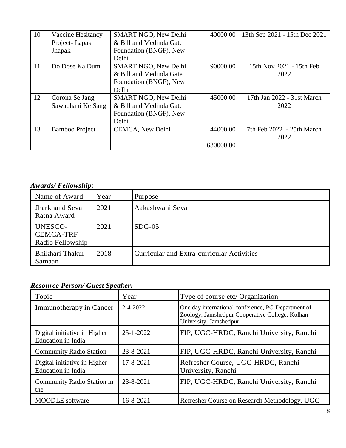| 10 | Vaccine Hesitancy     | SMART NGO, New Delhi        | 40000.00  | 13th Sep 2021 - 15th Dec 2021 |
|----|-----------------------|-----------------------------|-----------|-------------------------------|
|    | Project-Lapak         | & Bill and Medinda Gate     |           |                               |
|    | Jhapak                | Foundation (BNGF), New      |           |                               |
|    |                       | Delhi                       |           |                               |
| 11 | Do Dose Ka Dum        | <b>SMART NGO, New Delhi</b> | 90000.00  | 15th Nov 2021 - 15th Feb      |
|    |                       | & Bill and Medinda Gate     |           | 2022                          |
|    |                       | Foundation (BNGF), New      |           |                               |
|    |                       | Delhi                       |           |                               |
| 12 | Corona Se Jang,       | SMART NGO, New Delhi        | 45000.00  | 17th Jan 2022 - 31st March    |
|    | Sawadhani Ke Sang     | & Bill and Medinda Gate     |           | 2022                          |
|    |                       | Foundation (BNGF), New      |           |                               |
|    |                       | Delhi                       |           |                               |
| 13 | <b>Bamboo Project</b> | CEMCA, New Delhi            | 44000.00  | 7th Feb 2022 - 25th March     |
|    |                       |                             |           | 2022                          |
|    |                       |                             | 630000.00 |                               |

### *Awards/ Fellowship:*

| Name of Award                                          | Year | Purpose                                    |
|--------------------------------------------------------|------|--------------------------------------------|
| <b>Jharkhand Seva</b><br>Ratna Award                   | 2021 | Aakashwani Seva                            |
| <b>UNESCO-</b><br><b>CEMCA-TRF</b><br>Radio Fellowship | 2021 | $SDG-05$                                   |
| Bhikhari Thakur<br>Samaan                              | 2018 | Curricular and Extra-curricular Activities |

## *Resource Person/ Guest Speaker:*

| Topic                                                     | Year            | Type of course etc/ Organization                                                                                                |
|-----------------------------------------------------------|-----------------|---------------------------------------------------------------------------------------------------------------------------------|
| Immunotherapy in Cancer                                   | $2 - 4 - 2022$  | One day international conference, PG Department of<br>Zoology, Jamshedpur Cooperative College, Kolhan<br>University, Jamshedpur |
| Digital initiative in Higher<br><b>Education</b> in India | $25 - 1 - 2022$ | FIP, UGC-HRDC, Ranchi University, Ranchi                                                                                        |
| <b>Community Radio Station</b>                            | 23-8-2021       | FIP, UGC-HRDC, Ranchi University, Ranchi                                                                                        |
| Digital initiative in Higher<br>Education in India        | 17-8-2021       | Refresher Course, UGC-HRDC, Ranchi<br>University, Ranchi                                                                        |
| Community Radio Station in<br>the                         | 23-8-2021       | FIP, UGC-HRDC, Ranchi University, Ranchi                                                                                        |
| <b>MOODLE</b> software                                    | 16-8-2021       | Refresher Course on Research Methodology, UGC-                                                                                  |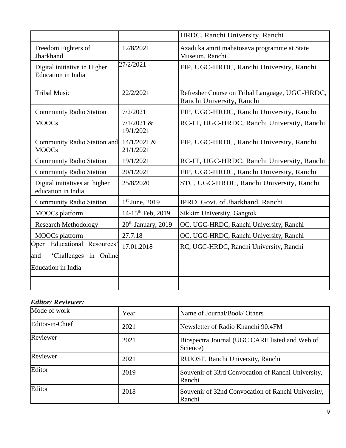|                                                           |                                | HRDC, Ranchi University, Ranchi                                             |
|-----------------------------------------------------------|--------------------------------|-----------------------------------------------------------------------------|
| Freedom Fighters of<br>Jharkhand                          | 12/8/2021                      | Azadi ka amrit mahatosava programme at State<br>Museum, Ranchi              |
| Digital initiative in Higher<br><b>Education</b> in India | 27/2/2021                      | FIP, UGC-HRDC, Ranchi University, Ranchi                                    |
| <b>Tribal Music</b>                                       | 22/2/2021                      | Refresher Course on Tribal Language, UGC-HRDC,<br>Ranchi University, Ranchi |
| <b>Community Radio Station</b>                            | 7/2/2021                       | FIP, UGC-HRDC, Ranchi University, Ranchi                                    |
| <b>MOOCs</b>                                              | $7/1/2021$ &<br>19/1/2021      | RC-IT, UGC-HRDC, Ranchi University, Ranchi                                  |
| <b>Community Radio Station and</b><br><b>MOOCs</b>        | 14/1/2021 &<br>21/1/2021       | FIP, UGC-HRDC, Ranchi University, Ranchi                                    |
| <b>Community Radio Station</b>                            | 19/1/2021                      | RC-IT, UGC-HRDC, Ranchi University, Ranchi                                  |
| <b>Community Radio Station</b>                            | 20/1/2021                      | FIP, UGC-HRDC, Ranchi University, Ranchi                                    |
| Digital initiatives at higher<br>education in India       | 25/8/2020                      | STC, UGC-HRDC, Ranchi University, Ranchi                                    |
| <b>Community Radio Station</b>                            | $1st$ June, 2019               | IPRD, Govt. of Jharkhand, Ranchi                                            |
| <b>MOOCs</b> platform                                     | 14-15 <sup>th</sup> Feb, 2019  | Sikkim University, Gangtok                                                  |
| <b>Research Methodology</b>                               | 20 <sup>th</sup> January, 2019 | OC, UGC-HRDC, Ranchi University, Ranchi                                     |
| <b>MOOCs</b> platform                                     | 27.7.18                        | OC, UGC-HRDC, Ranchi University, Ranchi                                     |
| Open Educational Resources'                               | 17.01.2018                     | RC, UGC-HRDC, Ranchi University, Ranchi                                     |
| 'Challenges in Online<br>and                              |                                |                                                                             |
| <b>Education</b> in India                                 |                                |                                                                             |
|                                                           |                                |                                                                             |

### *Editor/ Reviewer:*

| Mode of work    | Year | Name of Journal/Book/ Others                                 |
|-----------------|------|--------------------------------------------------------------|
| Editor-in-Chief | 2021 | Newsletter of Radio Khanchi 90.4FM                           |
| Reviewer        | 2021 | Biospectra Journal (UGC CARE listed and Web of<br>Science)   |
| Reviewer        | 2021 | RUJOST, Ranchi University, Ranchi                            |
| Editor          | 2019 | Souvenir of 33rd Convocation of Ranchi University,<br>Ranchi |
| Editor          | 2018 | Souvenir of 32nd Convocation of Ranchi University,<br>Ranchi |